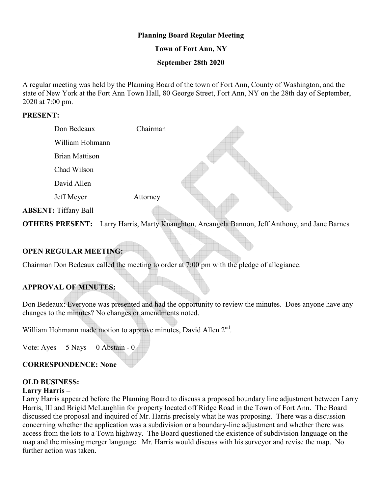### **Planning Board Regular Meeting**

### **Town of Fort Ann, NY**

### **September 28th 2020**

A regular meeting was held by the Planning Board of the town of Fort Ann, County of Washington, and the state of New York at the Fort Ann Town Hall, 80 George Street, Fort Ann, NY on the 28th day of September, 2020 at 7:00 pm.

### **PRESENT:**

| Don Bedeaux                 | Chairman |  |
|-----------------------------|----------|--|
| William Hohmann             |          |  |
| <b>Brian Mattison</b>       |          |  |
| Chad Wilson                 |          |  |
| David Allen                 |          |  |
| Jeff Meyer                  | Attorney |  |
| <b>ABSENT: Tiffany Ball</b> |          |  |

**OTHERS PRESENT:** Larry Harris, Marty Knaughton, Arcangela Bannon, Jeff Anthony, and Jane Barnes

b

## **OPEN REGULAR MEETING:**

Chairman Don Bedeaux called the meeting to order at 7:00 pm with the pledge of allegiance.

## **APPROVAL OF MINUTES:**

Don Bedeaux: Everyone was presented and had the opportunity to review the minutes. Does anyone have any changes to the minutes? No changes or amendments noted.

William Hohmann made motion to approve minutes, David Allen 2<sup>nd</sup>.

Vote: Ayes – 5 Nays – 0 Abstain - 0

### **CORRESPONDENCE: None**

## **OLD BUSINESS:**

#### **Larry Harris –**

Larry Harris appeared before the Planning Board to discuss a proposed boundary line adjustment between Larry Harris, III and Brigid McLaughlin for property located off Ridge Road in the Town of Fort Ann. The Board discussed the proposal and inquired of Mr. Harris precisely what he was proposing. There was a discussion concerning whether the application was a subdivision or a boundary-line adjustment and whether there was access from the lots to a Town highway. The Board questioned the existence of subdivision language on the map and the missing merger language. Mr. Harris would discuss with his surveyor and revise the map. No further action was taken.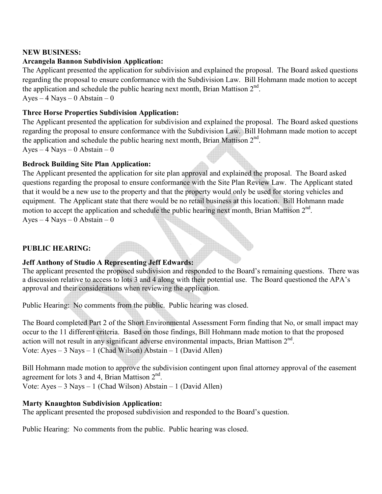## **NEW BUSINESS:**

## **Arcangela Bannon Subdivision Application:**

The Applicant presented the application for subdivision and explained the proposal. The Board asked questions regarding the proposal to ensure conformance with the Subdivision Law. Bill Hohmann made motion to accept the application and schedule the public hearing next month, Brian Mattison  $2<sup>nd</sup>$ .

Ayes –  $4$  Nays – 0 Abstain – 0

## **Three Horse Properties Subdivision Application:**

The Applicant presented the application for subdivision and explained the proposal. The Board asked questions regarding the proposal to ensure conformance with the Subdivision Law. Bill Hohmann made motion to accept the application and schedule the public hearing next month, Brian Mattison  $2<sup>nd</sup>$ . Ayes –  $4$  Nays – 0 Abstain – 0

**Bedrock Building Site Plan Application:** 

The Applicant presented the application for site plan approval and explained the proposal. The Board asked questions regarding the proposal to ensure conformance with the Site Plan Review Law. The Applicant stated that it would be a new use to the property and that the property would only be used for storing vehicles and equipment. The Applicant state that there would be no retail business at this location. Bill Hohmann made motion to accept the application and schedule the public hearing next month, Brian Mattison  $2<sup>nd</sup>$ .

Ayes  $-4$  Nays  $-0$  Abstain  $-0$ 

# **PUBLIC HEARING:**

# **Jeff Anthony of Studio A Representing Jeff Edwards:**

The applicant presented the proposed subdivision and responded to the Board's remaining questions. There was a discussion relative to access to lots 3 and 4 along with their potential use. The Board questioned the APA's approval and their considerations when reviewing the application.

Public Hearing: No comments from the public. Public hearing was closed.

The Board completed Part 2 of the Short Environmental Assessment Form finding that No, or small impact may occur to the 11 different criteria. Based on those findings, Bill Hohmann made motion to that the proposed action will not result in any significant adverse environmental impacts, Brian Mattison 2<sup>nd</sup>. Vote: Ayes – 3 Nays – 1 (Chad Wilson) Abstain – 1 (David Allen)

Bill Hohmann made motion to approve the subdivision contingent upon final attorney approval of the easement agreement for lots 3 and 4, Brian Mattison  $2<sup>nd</sup>$ .

Vote: Ayes – 3 Nays – 1 (Chad Wilson) Abstain – 1 (David Allen)

# **Marty Knaughton Subdivision Application:**

The applicant presented the proposed subdivision and responded to the Board's question.

Public Hearing: No comments from the public. Public hearing was closed.